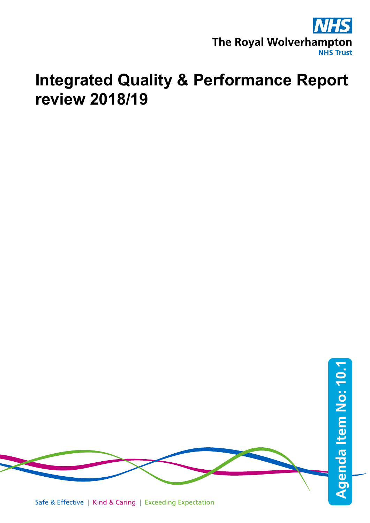

# **Integrated Quality & Performance Report review 2018/19**



Safe & Effective | Kind & Caring | Exceeding Expectation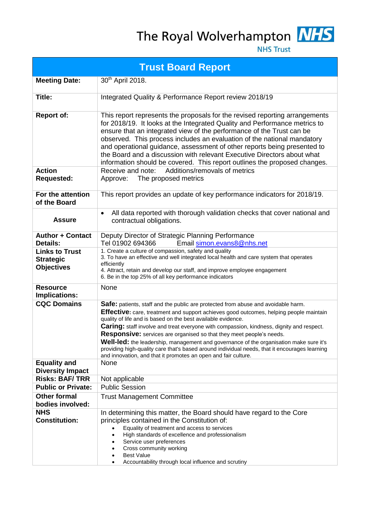The Royal Wolverhampton MHS



**NHS Trust** 

| <b>Trust Board Report</b>                                      |                                                                                                                                                                                                                                                                                                                                                                                                                                                                                                                                                                                                                                                                                            |
|----------------------------------------------------------------|--------------------------------------------------------------------------------------------------------------------------------------------------------------------------------------------------------------------------------------------------------------------------------------------------------------------------------------------------------------------------------------------------------------------------------------------------------------------------------------------------------------------------------------------------------------------------------------------------------------------------------------------------------------------------------------------|
| <b>Meeting Date:</b>                                           | 30 <sup>th</sup> April 2018.                                                                                                                                                                                                                                                                                                                                                                                                                                                                                                                                                                                                                                                               |
| Title:                                                         | Integrated Quality & Performance Report review 2018/19                                                                                                                                                                                                                                                                                                                                                                                                                                                                                                                                                                                                                                     |
| <b>Report of:</b>                                              | This report represents the proposals for the revised reporting arrangements<br>for 2018/19. It looks at the Integrated Quality and Performance metrics to<br>ensure that an integrated view of the performance of the Trust can be<br>observed. This process includes an evaluation of the national mandatory<br>and operational guidance, assessment of other reports being presented to<br>the Board and a discussion with relevant Executive Directors about what<br>information should be covered. This report outlines the proposed changes.                                                                                                                                          |
| <b>Action</b><br><b>Requested:</b>                             | Additions/removals of metrics<br>Receive and note:<br>The proposed metrics<br>Approve:                                                                                                                                                                                                                                                                                                                                                                                                                                                                                                                                                                                                     |
| For the attention<br>of the Board                              | This report provides an update of key performance indicators for 2018/19.                                                                                                                                                                                                                                                                                                                                                                                                                                                                                                                                                                                                                  |
| <b>Assure</b>                                                  | All data reported with thorough validation checks that cover national and<br>$\bullet$<br>contractual obligations.                                                                                                                                                                                                                                                                                                                                                                                                                                                                                                                                                                         |
| <b>Author + Contact</b><br><b>Details:</b>                     | Deputy Director of Strategic Planning Performance<br>Tel 01902 694366<br>Email simon.evans8@nhs.net                                                                                                                                                                                                                                                                                                                                                                                                                                                                                                                                                                                        |
| <b>Links to Trust</b><br><b>Strategic</b><br><b>Objectives</b> | 1. Create a culture of compassion, safety and quality<br>3. To have an effective and well integrated local health and care system that operates<br>efficiently<br>4. Attract, retain and develop our staff, and improve employee engagement<br>6. Be in the top 25% of all key performance indicators                                                                                                                                                                                                                                                                                                                                                                                      |
| <b>Resource</b><br>Implications:                               | None                                                                                                                                                                                                                                                                                                                                                                                                                                                                                                                                                                                                                                                                                       |
| <b>CQC Domains</b>                                             | Safe: patients, staff and the public are protected from abuse and avoidable harm.<br>Effective: care, treatment and support achieves good outcomes, helping people maintain<br>quality of life and is based on the best available evidence.<br><b>Caring:</b> staff involve and treat everyone with compassion, kindness, dignity and respect.<br><b>Responsive:</b> services are organised so that they meet people's needs.<br>Well-led: the leadership, management and governance of the organisation make sure it's<br>providing high-quality care that's based around individual needs, that it encourages learning<br>and innovation, and that it promotes an open and fair culture. |
| <b>Equality and</b><br><b>Diversity Impact</b>                 | None                                                                                                                                                                                                                                                                                                                                                                                                                                                                                                                                                                                                                                                                                       |
| <b>Risks: BAF/TRR</b>                                          | Not applicable                                                                                                                                                                                                                                                                                                                                                                                                                                                                                                                                                                                                                                                                             |
| <b>Public or Private:</b>                                      | <b>Public Session</b>                                                                                                                                                                                                                                                                                                                                                                                                                                                                                                                                                                                                                                                                      |
| <b>Other formal</b><br>bodies involved:                        | <b>Trust Management Committee</b>                                                                                                                                                                                                                                                                                                                                                                                                                                                                                                                                                                                                                                                          |
| <b>NHS</b><br><b>Constitution:</b>                             | In determining this matter, the Board should have regard to the Core<br>principles contained in the Constitution of:<br>Equality of treatment and access to services<br>High standards of excellence and professionalism<br>Service user preferences<br>Cross community working<br><b>Best Value</b><br>Accountability through local influence and scrutiny                                                                                                                                                                                                                                                                                                                                |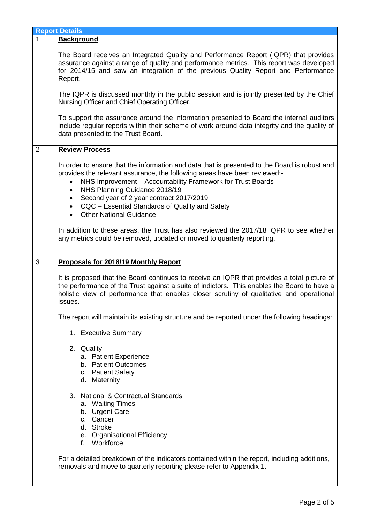|   | <b>Report Details</b>                                                                                                                                                                                                                                                                                                                                                                                                                              |
|---|----------------------------------------------------------------------------------------------------------------------------------------------------------------------------------------------------------------------------------------------------------------------------------------------------------------------------------------------------------------------------------------------------------------------------------------------------|
| 1 | <b>Background</b>                                                                                                                                                                                                                                                                                                                                                                                                                                  |
|   | The Board receives an Integrated Quality and Performance Report (IQPR) that provides<br>assurance against a range of quality and performance metrics. This report was developed<br>for 2014/15 and saw an integration of the previous Quality Report and Performance<br>Report.                                                                                                                                                                    |
|   | The IQPR is discussed monthly in the public session and is jointly presented by the Chief<br>Nursing Officer and Chief Operating Officer.                                                                                                                                                                                                                                                                                                          |
|   | To support the assurance around the information presented to Board the internal auditors<br>include regular reports within their scheme of work around data integrity and the quality of<br>data presented to the Trust Board.                                                                                                                                                                                                                     |
| 2 | <b>Review Process</b>                                                                                                                                                                                                                                                                                                                                                                                                                              |
|   | In order to ensure that the information and data that is presented to the Board is robust and<br>provides the relevant assurance, the following areas have been reviewed:-<br>NHS Improvement - Accountability Framework for Trust Boards<br>NHS Planning Guidance 2018/19<br>$\bullet$<br>Second year of 2 year contract 2017/2019<br>$\bullet$<br>CQC - Essential Standards of Quality and Safety<br>$\bullet$<br><b>Other National Guidance</b> |
|   | In addition to these areas, the Trust has also reviewed the 2017/18 IQPR to see whether<br>any metrics could be removed, updated or moved to quarterly reporting.                                                                                                                                                                                                                                                                                  |
| 3 | Proposals for 2018/19 Monthly Report                                                                                                                                                                                                                                                                                                                                                                                                               |
|   | It is proposed that the Board continues to receive an IQPR that provides a total picture of<br>the performance of the Trust against a suite of indictors. This enables the Board to have a<br>holistic view of performance that enables closer scrutiny of qualitative and operational<br>issues.                                                                                                                                                  |
|   | The report will maintain its existing structure and be reported under the following headings:                                                                                                                                                                                                                                                                                                                                                      |
|   | 1. Executive Summary                                                                                                                                                                                                                                                                                                                                                                                                                               |
|   | 2. Quality<br>a. Patient Experience<br>b. Patient Outcomes<br>c. Patient Safety<br>d. Maternity                                                                                                                                                                                                                                                                                                                                                    |
|   | 3. National & Contractual Standards<br>a. Waiting Times<br>b. Urgent Care<br>c. Cancer<br>d. Stroke<br>e. Organisational Efficiency<br>f. Workforce                                                                                                                                                                                                                                                                                                |
|   | For a detailed breakdown of the indicators contained within the report, including additions,<br>removals and move to quarterly reporting please refer to Appendix 1.                                                                                                                                                                                                                                                                               |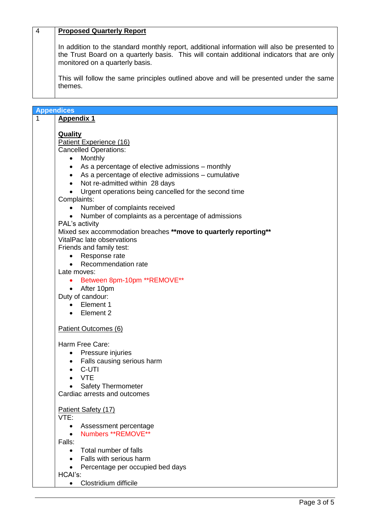#### 4 **Proposed Quarterly Report**

In addition to the standard monthly report, additional information will also be presented to the Trust Board on a quarterly basis. This will contain additional indicators that are only monitored on a quarterly basis.

This will follow the same principles outlined above and will be presented under the same themes.

|   | <b>Appendices</b>                                                  |  |  |
|---|--------------------------------------------------------------------|--|--|
| 1 |                                                                    |  |  |
|   | <b>Appendix 1</b>                                                  |  |  |
|   |                                                                    |  |  |
|   | <b>Quality</b>                                                     |  |  |
|   | Patient Experience (16)                                            |  |  |
|   | <b>Cancelled Operations:</b>                                       |  |  |
|   | • Monthly                                                          |  |  |
|   | As a percentage of elective admissions – monthly                   |  |  |
|   | • As a percentage of elective admissions – cumulative              |  |  |
|   | Not re-admitted within 28 days<br>$\bullet$                        |  |  |
|   | Urgent operations being cancelled for the second time<br>$\bullet$ |  |  |
|   | Complaints:                                                        |  |  |
|   | Number of complaints received<br>$\bullet$                         |  |  |
|   | Number of complaints as a percentage of admissions<br>$\bullet$    |  |  |
|   | PAL's activity                                                     |  |  |
|   | Mixed sex accommodation breaches ** move to quarterly reporting**  |  |  |
|   | VitalPac late observations                                         |  |  |
|   | Friends and family test:                                           |  |  |
|   | Response rate                                                      |  |  |
|   | Recommendation rate                                                |  |  |
|   | Late moves:                                                        |  |  |
|   | Between 8pm-10pm **REMOVE**<br>$\bullet$                           |  |  |
|   | • After 10pm                                                       |  |  |
|   | Duty of candour:                                                   |  |  |
|   | Element 1                                                          |  |  |
|   | • Element 2                                                        |  |  |
|   |                                                                    |  |  |
|   | Patient Outcomes (6)                                               |  |  |
|   |                                                                    |  |  |
|   | Harm Free Care:                                                    |  |  |
|   | Pressure injuries<br>$\bullet$                                     |  |  |
|   | Falls causing serious harm                                         |  |  |
|   | C-UTI                                                              |  |  |
|   | <b>VTE</b>                                                         |  |  |
|   | <b>Safety Thermometer</b>                                          |  |  |
|   | Cardiac arrests and outcomes                                       |  |  |
|   |                                                                    |  |  |
|   | Patient Safety (17)                                                |  |  |
|   | VTE:                                                               |  |  |
|   | Assessment percentage<br>$\bullet$                                 |  |  |
|   | Numbers **REMOVE**<br>$\bullet$                                    |  |  |
|   | Falls:                                                             |  |  |
|   | Total number of falls<br>$\bullet$                                 |  |  |
|   | • Falls with serious harm                                          |  |  |
|   | Percentage per occupied bed days                                   |  |  |
|   | $\bullet$<br>HCAI's:                                               |  |  |
|   | Clostridium difficile                                              |  |  |
|   | $\bullet$                                                          |  |  |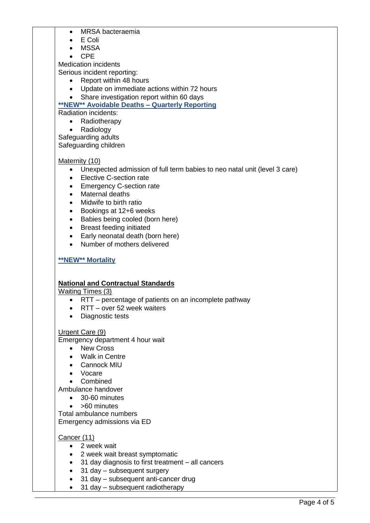- MRSA bacteraemia
- E Coli
- MSSA
- CPE

Medication incidents

Serious incident reporting:

- Report within 48 hours
- Update on immediate actions within 72 hours
- Share investigation report within 60 days

#### **\*\*NEW\*\* Avoidable Deaths – Quarterly Reporting** Radiation incidents:

• Radiotherapy

- Radiology
- Safeguarding adults

Safeguarding children

## Maternity (10)

- Unexpected admission of full term babies to neo natal unit (level 3 care)
- Elective C-section rate
- Emergency C-section rate
- Maternal deaths
- Midwife to birth ratio
- Bookings at 12+6 weeks
- Babies being cooled (born here)
- Breast feeding initiated
- Early neonatal death (born here)
- Number of mothers delivered

# **\*\*NEW\*\* Mortality**

#### **National and Contractual Standards**

Waiting Times (3)

- RTT percentage of patients on an incomplete pathway
- RTT over 52 week waiters
- Diagnostic tests

#### Urgent Care (9)

Emergency department 4 hour wait

- New Cross
- Walk in Centre
- Cannock MIU
- Vocare
- Combined

Ambulance handover

- 30-60 minutes
- >60 minutes

Total ambulance numbers Emergency admissions via ED

#### Cancer (11)

- 2 week wait
- 2 week wait breast symptomatic
- 31 day diagnosis to first treatment all cancers
- 31 day subsequent surgery
- 31 day subsequent anti-cancer drug
- 31 day subsequent radiotherapy